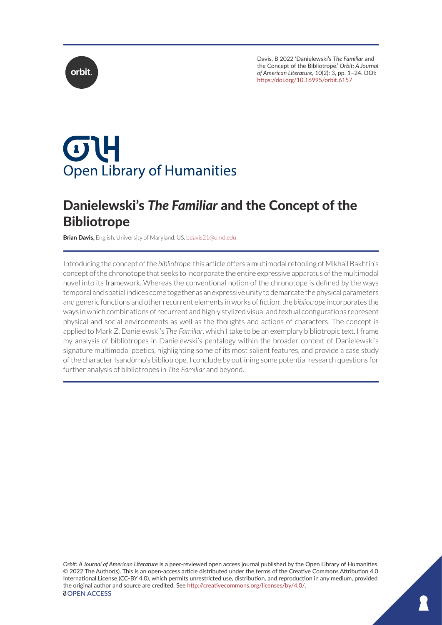



# $\sigma$ H **Open Library of Humanities**

# Danielewski's *The Familiar* and the Concept of the **Bibliotrope**

**Brian Davis,** English, University of Maryland, US, [bdavis21@umd.edu](mailto:bdavis21@umd.edu)

Introducing the concept of the *bibliotrope*, this article offers a multimodal retooling of Mikhail Bakhtin's concept of the chronotope that seeks to incorporate the entire expressive apparatus of the multimodal novel into its framework. Whereas the conventional notion of the chronotope is defined by the ways temporal and spatial indices come together as an expressive unity to demarcate the physical parameters and generic functions and other recurrent elements in works of fiction, the *bibliotrope* incorporates the ways in which combinations of recurrent and highly stylized visual and textual configurations represent physical and social environments as well as the thoughts and actions of characters. The concept is applied to Mark Z. Danielewski's *The Familiar*, which I take to be an exemplary bibliotropic text. I frame my analysis of bibliotropes in Danielewski's pentalogy within the broader context of Danielewski's signature multimodal poetics, highlighting some of its most salient features, and provide a case study of the character Isandòrno's bibliotrope. I conclude by outlining some potential research questions for further analysis of bibliotropes in *The Familiar* and beyond.

*Orbit: A Journal of American Literature* is a peer-reviewed open access journal published by the Open Library of Humanities. © 2022 The Author(s). This is an open-access article distributed under the terms of the Creative Commons Attribution 4.0 International License (CC-BY 4.0), which permits unrestricted use, distribution, and reproduction in any medium, provided the original author and source are credited. See [http://creativecommons.org/licenses/by/4.0/.](http://creativecommons.org/licenses/by/4.0/) *<u>OOPEN</u>* ACCESS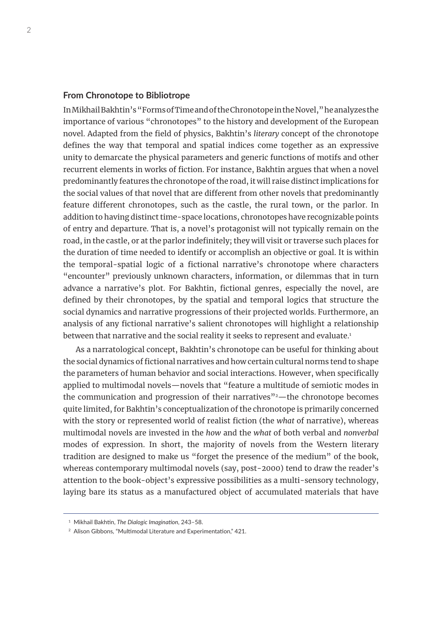#### **From Chronotope to Bibliotrope**

In Mikhail Bakhtin's "Forms of Time and of the Chronotope in the Novel," he analyzes the importance of various "chronotopes" to the history and development of the European novel. Adapted from the field of physics, Bakhtin's *literary* concept of the chronotope defines the way that temporal and spatial indices come together as an expressive unity to demarcate the physical parameters and generic functions of motifs and other recurrent elements in works of fiction. For instance, Bakhtin argues that when a novel predominantly features the chronotope of the road, it will raise distinct implications for the social values of that novel that are different from other novels that predominantly feature different chronotopes, such as the castle, the rural town, or the parlor. In addition to having distinct time-space locations, chronotopes have recognizable points of entry and departure. That is, a novel's protagonist will not typically remain on the road, in the castle, or at the parlor indefinitely; they will visit or traverse such places for the duration of time needed to identify or accomplish an objective or goal. It is within the temporal-spatial logic of a fictional narrative's chronotope where characters "encounter" previously unknown characters, information, or dilemmas that in turn advance a narrative's plot. For Bakhtin, fictional genres, especially the novel, are defined by their chronotopes, by the spatial and temporal logics that structure the social dynamics and narrative progressions of their projected worlds. Furthermore, an analysis of any fictional narrative's salient chronotopes will highlight a relationship between that narrative and the social reality it seeks to represent and evaluate.<sup>1</sup>

As a narratological concept, Bakhtin's chronotope can be useful for thinking about the social dynamics of fictional narratives and how certain cultural norms tend to shape the parameters of human behavior and social interactions. However, when specifically applied to multimodal novels—novels that "feature a multitude of semiotic modes in the communication and progression of their narratives $"2$ —the chronotope becomes quite limited, for Bakhtin's conceptualization of the chronotope is primarily concerned with the story or represented world of realist fiction (the *what* of narrative), whereas multimodal novels are invested in the *how* and the *what* of both verbal and *nonverbal* modes of expression. In short, the majority of novels from the Western literary tradition are designed to make us "forget the presence of the medium" of the book, whereas contemporary multimodal novels (say, post-2000) tend to draw the reader's attention to the book-object's expressive possibilities as a multi-sensory technology, laying bare its status as a manufactured object of accumulated materials that have

<sup>1</sup> Mikhail Bakhtin, *The Dialogic Imagination*, 243–58.

<sup>&</sup>lt;sup>2</sup> Alison Gibbons, "Multimodal Literature and Experimentation," 421.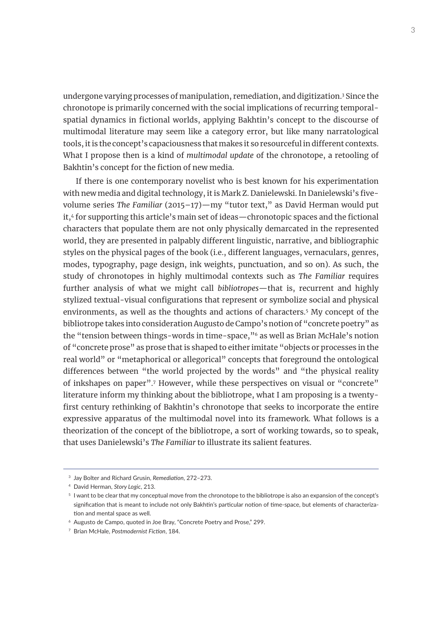undergone varying processes of manipulation, remediation, and digitization.<sup>3</sup> Since the chronotope is primarily concerned with the social implications of recurring temporalspatial dynamics in fictional worlds, applying Bakhtin's concept to the discourse of multimodal literature may seem like a category error, but like many narratological tools, it is the concept's capaciousness that makes it so resourceful in different contexts. What I propose then is a kind of *multimodal update* of the chronotope, a retooling of Bakhtin's concept for the fiction of new media.

If there is one contemporary novelist who is best known for his experimentation with new media and digital technology, it is Mark Z. Danielewski. In Danielewski's fivevolume series *The Familiar* (2015–17)—my "tutor text," as David Herman would put it,<sup>4</sup> for supporting this article's main set of ideas—chronotopic spaces and the fictional characters that populate them are not only physically demarcated in the represented world, they are presented in palpably different linguistic, narrative, and bibliographic styles on the physical pages of the book (i.e., different languages, vernaculars, genres, modes, typography, page design, ink weights, punctuation, and so on). As such, the study of chronotopes in highly multimodal contexts such as *The Familiar* requires further analysis of what we might call *bibliotropes*—that is, recurrent and highly stylized textual-visual configurations that represent or symbolize social and physical environments, as well as the thoughts and actions of characters.5 My concept of the bibliotrope takes into consideration Augusto de Campo's notion of "concrete poetry" as the "tension between things-words in time-space,"<sup>6</sup> as well as Brian McHale's notion of "concrete prose" as prose that is shaped to either imitate "objects or processes in the real world" or "metaphorical or allegorical" concepts that foreground the ontological differences between "the world projected by the words" and "the physical reality of inkshapes on paper".7 However, while these perspectives on visual or "concrete" literature inform my thinking about the bibliotrope, what I am proposing is a twentyfirst century rethinking of Bakhtin's chronotope that seeks to incorporate the entire expressive apparatus of the multimodal novel into its framework. What follows is a theorization of the concept of the bibliotrope, a sort of working towards, so to speak, that uses Danielewski's *The Familiar* to illustrate its salient features.

<sup>3</sup> Jay Bolter and Richard Grusin, *Remediation*, 272–273.

<sup>4</sup> David Herman, *Story Logic*, 213.

<sup>5</sup> I want to be clear that my conceptual move from the chronotope to the bibliotrope is also an expansion of the concept's signification that is meant to include not only Bakhtin's particular notion of time-space, but elements of characterization and mental space as well.

<sup>6</sup> Augusto de Campo, quoted in Joe Bray, "Concrete Poetry and Prose," 299.

<sup>7</sup> Brian McHale, *Postmodernist Fiction*, 184.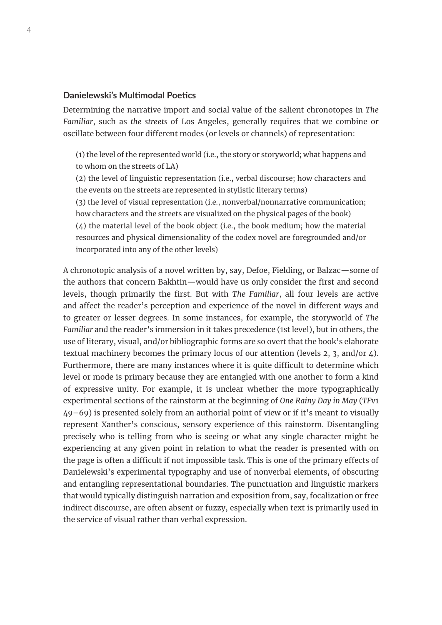## **Danielewski's Multimodal Poetics**

Determining the narrative import and social value of the salient chronotopes in *The Familiar*, such as *the streets* of Los Angeles, generally requires that we combine or oscillate between four different modes (or levels or channels) of representation:

(1) the level of the represented world (i.e., the story or storyworld; what happens and to whom on the streets of LA)

(2) the level of linguistic representation (i.e., verbal discourse; how characters and the events on the streets are represented in stylistic literary terms)

(3) the level of visual representation (i.e., nonverbal/nonnarrative communication; how characters and the streets are visualized on the physical pages of the book)  $(4)$  the material level of the book object (i.e., the book medium; how the material resources and physical dimensionality of the codex novel are foregrounded and/or incorporated into any of the other levels)

A chronotopic analysis of a novel written by, say, Defoe, Fielding, or Balzac—some of the authors that concern Bakhtin—would have us only consider the first and second levels, though primarily the first. But with *The Familiar*, all four levels are active and affect the reader's perception and experience of the novel in different ways and to greater or lesser degrees. In some instances, for example, the storyworld of *The Familiar* and the reader's immersion in it takes precedence (1st level), but in others, the use of literary, visual, and/or bibliographic forms are so overt that the book's elaborate textual machinery becomes the primary locus of our attention (levels 2, 3, and/or 4). Furthermore, there are many instances where it is quite difficult to determine which level or mode is primary because they are entangled with one another to form a kind of expressive unity. For example, it is unclear whether the more typographically experimental sections of the rainstorm at the beginning of *One Rainy Day in May* (*TF*v1 49–69) is presented solely from an authorial point of view or if it's meant to visually represent Xanther's conscious, sensory experience of this rainstorm. Disentangling precisely who is telling from who is seeing or what any single character might be experiencing at any given point in relation to what the reader is presented with on the page is often a difficult if not impossible task. This is one of the primary effects of Danielewski's experimental typography and use of nonverbal elements, of obscuring and entangling representational boundaries. The punctuation and linguistic markers that would typically distinguish narration and exposition from, say, focalization or free indirect discourse, are often absent or fuzzy, especially when text is primarily used in the service of visual rather than verbal expression.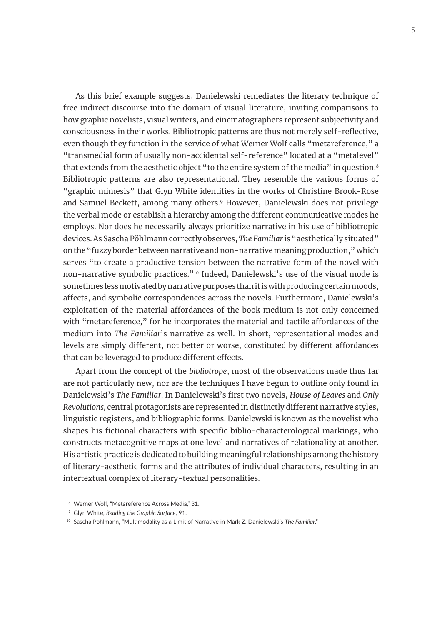As this brief example suggests, Danielewski remediates the literary technique of free indirect discourse into the domain of visual literature, inviting comparisons to how graphic novelists, visual writers, and cinematographers represent subjectivity and consciousness in their works. Bibliotropic patterns are thus not merely self-reflective, even though they function in the service of what Werner Wolf calls "metareference," a "transmedial form of usually non-accidental self-reference" located at a "metalevel" that extends from the aesthetic object "to the entire system of the media" in question.<sup>8</sup> Bibliotropic patterns are also representational. They resemble the various forms of "graphic mimesis" that Glyn White identifies in the works of Christine Brook-Rose and Samuel Beckett, among many others.<sup>9</sup> However, Danielewski does not privilege the verbal mode or establish a hierarchy among the different communicative modes he employs. Nor does he necessarily always prioritize narrative in his use of bibliotropic devices. As Sascha Pöhlmann correctly observes, *The Familiar* is "aesthetically situated" on the "fuzzy border between narrative and non-narrative meaning production," which serves "to create a productive tension between the narrative form of the novel with non-narrative symbolic practices."10 Indeed, Danielewski's use of the visual mode is sometimes less motivated by narrative purposes than it is with producing certain moods, affects, and symbolic correspondences across the novels. Furthermore, Danielewski's exploitation of the material affordances of the book medium is not only concerned with "metareference," for he incorporates the material and tactile affordances of the medium into *The Familiar*'s narrative as well. In short, representational modes and levels are simply different, not better or worse, constituted by different affordances that can be leveraged to produce different effects.

Apart from the concept of the *bibliotrope*, most of the observations made thus far are not particularly new, nor are the techniques I have begun to outline only found in Danielewski's *The Familiar*. In Danielewski's first two novels, *House of Leaves* and *Only Revolutions,* central protagonists are represented in distinctly different narrative styles, linguistic registers, and bibliographic forms. Danielewski is known as the novelist who shapes his fictional characters with specific biblio-characterological markings, who constructs metacognitive maps at one level and narratives of relationality at another. His artistic practice is dedicated to building meaningful relationships among the history of literary-aesthetic forms and the attributes of individual characters, resulting in an intertextual complex of literary-textual personalities.

<sup>8</sup> Werner Wolf, "Metareference Across Media," 31.

<sup>9</sup> Glyn White, *Reading the Graphic Surface*, 91.

<sup>10</sup> Sascha Pöhlmann, "Multimodality as a Limit of Narrative in Mark Z. Danielewski's *The Familiar*."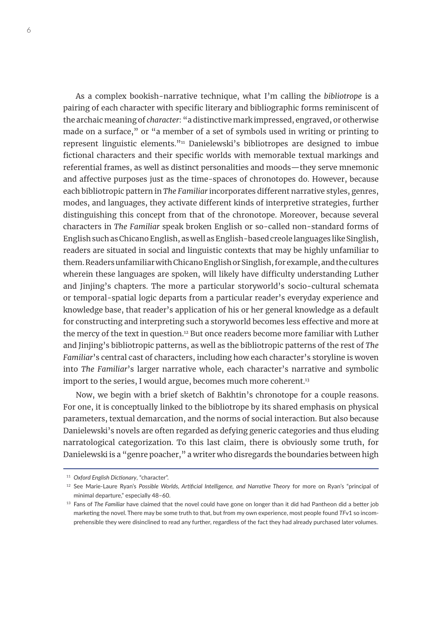As a complex bookish-narrative technique, what I'm calling the *bibliotrope* is a pairing of each character with specific literary and bibliographic forms reminiscent of the archaic meaning of *character*: "a distinctive mark impressed, engraved, or otherwise made on a surface," or "a member of a set of symbols used in writing or printing to represent linguistic elements."11 Danielewski's bibliotropes are designed to imbue fictional characters and their specific worlds with memorable textual markings and referential frames, as well as distinct personalities and moods—they serve mnemonic and affective purposes just as the time-spaces of chronotopes do. However, because each bibliotropic pattern in *The Familiar* incorporates different narrative styles, genres, modes, and languages, they activate different kinds of interpretive strategies, further distinguishing this concept from that of the chronotope. Moreover, because several characters in *The Familiar* speak broken English or so-called non-standard forms of English such as Chicano English, as well as English-based creole languages like Singlish, readers are situated in social and linguistic contexts that may be highly unfamiliar to them. Readers unfamiliar with Chicano English or Singlish, for example, and the cultures wherein these languages are spoken, will likely have difficulty understanding Luther and Jinjing's chapters. The more a particular storyworld's socio-cultural schemata or temporal-spatial logic departs from a particular reader's everyday experience and knowledge base, that reader's application of his or her general knowledge as a default for constructing and interpreting such a storyworld becomes less effective and more at the mercy of the text in question.<sup>12</sup> But once readers become more familiar with Luther and Jinjing's bibliotropic patterns, as well as the bibliotropic patterns of the rest of *The Familiar*'s central cast of characters, including how each character's storyline is woven into *The Familiar*'s larger narrative whole, each character's narrative and symbolic import to the series, I would argue, becomes much more coherent.<sup>13</sup>

Now, we begin with a brief sketch of Bakhtin's chronotope for a couple reasons. For one, it is conceptually linked to the bibliotrope by its shared emphasis on physical parameters, textual demarcation, and the norms of social interaction. But also because Danielewski's novels are often regarded as defying generic categories and thus eluding narratological categorization. To this last claim, there is obviously some truth, for Danielewski is a "genre poacher," a writer who disregards the boundaries between high

<sup>11</sup> *Oxford English Dictionary*, "character".

<sup>12</sup> See Marie-Laure Ryan's *Possible Worlds, Artificial Intelligence, and Narrative Theory* for more on Ryan's "principal of minimal departure," especially 48–60.

<sup>13</sup> Fans of *The Familiar* have claimed that the novel could have gone on longer than it did had Pantheon did a better job marketing the novel. There may be some truth to that, but from my own experience, most people found *TF*v1 so incomprehensible they were disinclined to read any further, regardless of the fact they had already purchased later volumes.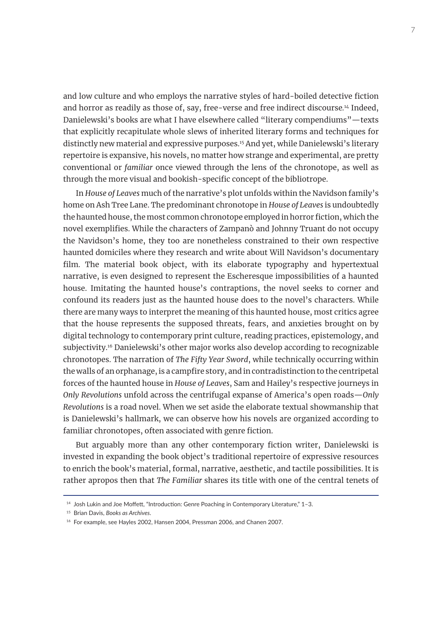and low culture and who employs the narrative styles of hard-boiled detective fiction and horror as readily as those of, say, free-verse and free indirect discourse.<sup>14</sup> Indeed, Danielewski's books are what I have elsewhere called "literary compendiums"—texts that explicitly recapitulate whole slews of inherited literary forms and techniques for distinctly new material and expressive purposes.<sup>15</sup> And yet, while Danielewski's literary repertoire is expansive, his novels, no matter how strange and experimental, are pretty conventional or *familiar* once viewed through the lens of the chronotope, as well as through the more visual and bookish-specific concept of the bibliotrope.

In *House of Leaves* much of the narrative's plot unfolds within the Navidson family's home on Ash Tree Lane. The predominant chronotope in *House of Leaves* is undoubtedly the haunted house, the most common chronotope employed in horror fiction, which the novel exemplifies. While the characters of Zampanò and Johnny Truant do not occupy the Navidson's home, they too are nonetheless constrained to their own respective haunted domiciles where they research and write about Will Navidson's documentary film. The material book object, with its elaborate typography and hypertextual narrative, is even designed to represent the Escheresque impossibilities of a haunted house. Imitating the haunted house's contraptions, the novel seeks to corner and confound its readers just as the haunted house does to the novel's characters. While there are many ways to interpret the meaning of this haunted house, most critics agree that the house represents the supposed threats, fears, and anxieties brought on by digital technology to contemporary print culture, reading practices, epistemology, and subjectivity.16 Danielewski's other major works also develop according to recognizable chronotopes. The narration of *The Fifty Year Sword*, while technically occurring within the walls of an orphanage, is a campfire story, and in contradistinction to the centripetal forces of the haunted house in *House of Leaves*, Sam and Hailey's respective journeys in *Only Revolutions* unfold across the centrifugal expanse of America's open roads—*Only Revolutions* is a road novel. When we set aside the elaborate textual showmanship that is Danielewski's hallmark, we can observe how his novels are organized according to familiar chronotopes, often associated with genre fiction.

But arguably more than any other contemporary fiction writer, Danielewski is invested in expanding the book object's traditional repertoire of expressive resources to enrich the book's material, formal, narrative, aesthetic, and tactile possibilities. It is rather apropos then that *The Familiar* shares its title with one of the central tenets of

<sup>&</sup>lt;sup>14</sup> Josh Lukin and Joe Moffett, "Introduction: Genre Poaching in Contemporary Literature," 1-3.

<sup>15</sup> Brian Davis, *Books as Archives*.

<sup>&</sup>lt;sup>16</sup> For example, see Hayles 2002, Hansen 2004, Pressman 2006, and Chanen 2007.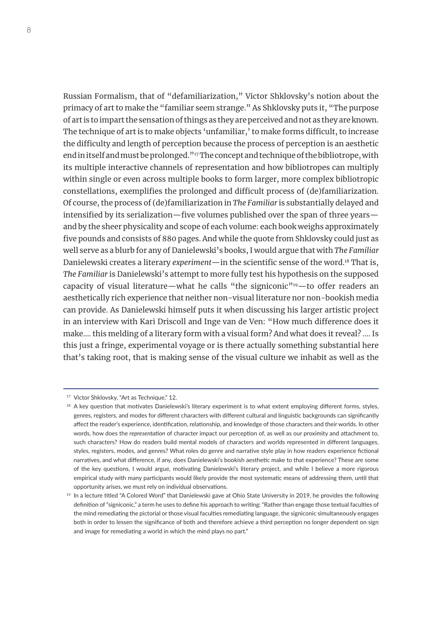Russian Formalism, that of "defamiliarization," Victor Shklovsky's notion about the primacy of art to make the "familiar seem strange." As Shklovsky puts it, "The purpose of art is to impart the sensation of things as they are perceived and not as they are known. The technique of art is to make objects 'unfamiliar,' to make forms difficult, to increase the difficulty and length of perception because the process of perception is an aesthetic end in itself and must be prolonged."<sup>17</sup> The concept and technique of the bibliotrope, with its multiple interactive channels of representation and how bibliotropes can multiply within single or even across multiple books to form larger, more complex bibliotropic constellations, exemplifies the prolonged and difficult process of (de)familiarization. Of course, the process of (de)familiarization in *The Familiar* is substantially delayed and intensified by its serialization—five volumes published over the span of three years and by the sheer physicality and scope of each volume: each book weighs approximately five pounds and consists of 880 pages. And while the quote from Shklovsky could just as well serve as a blurb for any of Danielewski's books, I would argue that with *The Familiar* Danielewski creates a literary *experiment*—in the scientific sense of the word.18 That is, *The Familiar* is Danielewski's attempt to more fully test his hypothesis on the supposed capacity of visual literature—what he calls "the signiconic"<sup>19</sup>—to offer readers an aesthetically rich experience that neither non-visual literature nor non-bookish media can provide. As Danielewski himself puts it when discussing his larger artistic project in an interview with Kari Driscoll and Inge van de Ven: "How much difference does it make…. this melding of a literary form with a visual form? And what does it reveal? …. Is this just a fringe, experimental voyage or is there actually something substantial here that's taking root, that is making sense of the visual culture we inhabit as well as the

<sup>&</sup>lt;sup>17</sup> Victor Shklovsky, "Art as Technique," 12.

<sup>&</sup>lt;sup>18</sup> A key question that motivates Danielewski's literary experiment is to what extent employing different forms, styles, genres, registers, and modes for different characters with different cultural and linguistic backgrounds can significantly affect the reader's experience, identification, relationship, and knowledge of those characters and their worlds. In other words, how does the *representation* of character impact our perception of, as well as our proximity and attachment to, such characters? How do readers build mental models of characters and worlds represented in different languages, styles, registers, modes, and genres? What roles do genre and narrative style play in how readers experience fictional narratives, and what difference, if any, does Danielewski's bookish aesthetic make to that experience? These are some of the key questions, I would argue, motivating Danielewski's literary project, and while I believe a more rigorous empirical study with many participants would likely provide the most systematic means of addressing them, until that opportunity arises, we must rely on individual observations.

 $19$  In a lecture titled "A Colored Word" that Danielewski gave at Ohio State University in 2019, he provides the following definition of "signiconic," a term he uses to define his approach to writing: "Rather than engage those textual faculties of the mind remediating the pictorial or those visual faculties remediating language, the signiconic simultaneously engages both in order to lessen the significance of both and therefore achieve a third perception no longer dependent on sign and image for remediating a world in which the mind plays no part."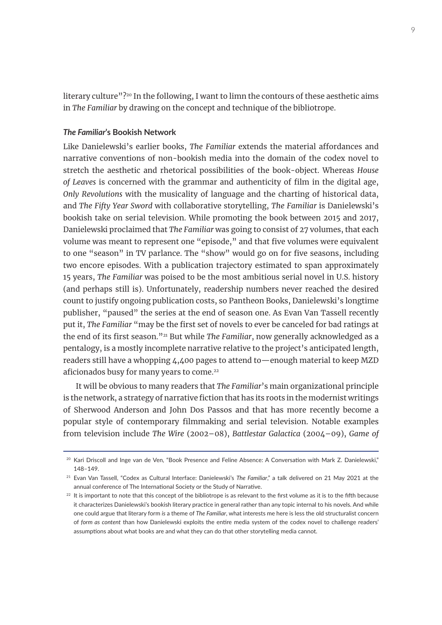literary culture"?<sup>20</sup> In the following, I want to limn the contours of these aesthetic aims in *The Familiar* by drawing on the concept and technique of the bibliotrope.

#### *The Familiar***'s Bookish Network**

Like Danielewski's earlier books, *The Familiar* extends the material affordances and narrative conventions of non-bookish media into the domain of the codex novel to stretch the aesthetic and rhetorical possibilities of the book-object. Whereas *House of Leaves* is concerned with the grammar and authenticity of film in the digital age, *Only Revolutions* with the musicality of language and the charting of historical data, and *The Fifty Year Sword* with collaborative storytelling, *The Familiar* is Danielewski's bookish take on serial television. While promoting the book between 2015 and 2017, Danielewski proclaimed that *The Familiar* was going to consist of 27 volumes, that each volume was meant to represent one "episode," and that five volumes were equivalent to one "season" in TV parlance. The "show" would go on for five seasons, including two encore episodes. With a publication trajectory estimated to span approximately 15 years, *The Familiar* was poised to be the most ambitious serial novel in U.S. history (and perhaps still is). Unfortunately, readership numbers never reached the desired count to justify ongoing publication costs, so Pantheon Books, Danielewski's longtime publisher, "paused" the series at the end of season one. As Evan Van Tassell recently put it, *The Familiar* "may be the first set of novels to ever be canceled for bad ratings at the end of its first season."21 But while *The Familiar*, now generally acknowledged as a pentalogy, is a mostly incomplete narrative relative to the project's anticipated length, readers still have a whopping 4,400 pages to attend to—enough material to keep MZD aficionados busy for many years to come.<sup>22</sup>

It will be obvious to many readers that *The Familiar*'s main organizational principle is the network, a strategy of narrative fiction that has its roots in the modernist writings of Sherwood Anderson and John Dos Passos and that has more recently become a popular style of contemporary filmmaking and serial television. Notable examples from television include *The Wire* (2002–08), *Battlestar Galactica* (2004–09), *Game of* 

<sup>&</sup>lt;sup>20</sup> Kari Driscoll and Inge van de Ven, "Book Presence and Feline Absence: A Conversation with Mark Z. Danielewski," 148–149.

<sup>21</sup> Evan Van Tassell, "Codex as Cultural Interface: Danielewski's *The Familiar*," a talk delivered on 21 May 2021 at the annual conference of The International Society or the Study of Narrative.

 $22$  It is important to note that this concept of the bibliotrope is as relevant to the first volume as it is to the fifth because it characterizes Danielewski's bookish literary practice in general rather than any topic internal to his novels. And while one could argue that literary form *is* a theme of *The Familiar*, what interests me here is less the old structuralist concern of *form as content* than how Danielewski exploits the entire media system of the codex novel to challenge readers' assumptions about what books are and what they can do that other storytelling media cannot.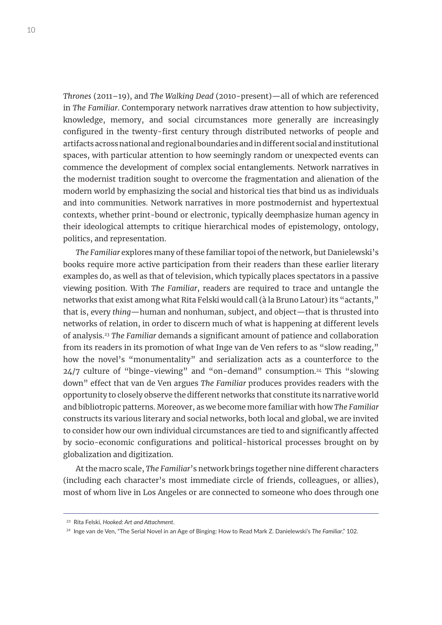*Thrones* (2011–19), and *The Walking Dead* (2010-present)—all of which are referenced in *The Familiar*. Contemporary network narratives draw attention to how subjectivity, knowledge, memory, and social circumstances more generally are increasingly configured in the twenty-first century through distributed networks of people and artifacts across national and regional boundaries and in different social and institutional spaces, with particular attention to how seemingly random or unexpected events can commence the development of complex social entanglements. Network narratives in the modernist tradition sought to overcome the fragmentation and alienation of the modern world by emphasizing the social and historical ties that bind us as individuals and into communities. Network narratives in more postmodernist and hypertextual contexts, whether print-bound or electronic, typically deemphasize human agency in their ideological attempts to critique hierarchical modes of epistemology, ontology, politics, and representation.

*The Familiar* explores many of these familiar topoi of the network, but Danielewski's books require more active participation from their readers than these earlier literary examples do, as well as that of television, which typically places spectators in a passive viewing position. With *The Familiar*, readers are required to trace and untangle the networks that exist among what Rita Felski would call (à la Bruno Latour) its "actants," that is, every *thing*—human and nonhuman, subject, and object—that is thrusted into networks of relation, in order to discern much of what is happening at different levels of analysis.23 *The Familiar* demands a significant amount of patience and collaboration from its readers in its promotion of what Inge van de Ven refers to as "slow reading," how the novel's "monumentality" and serialization acts as a counterforce to the  $24/7$  culture of "binge-viewing" and "on-demand" consumption.<sup>24</sup> This "slowing down" effect that van de Ven argues *The Familiar* produces provides readers with the opportunity to closely observe the different networks that constitute its narrative world and bibliotropic patterns. Moreover, as we become more familiar with how *The Familiar* constructs its various literary and social networks, both local and global, we are invited to consider how our own individual circumstances are tied to and significantly affected by socio-economic configurations and political-historical processes brought on by globalization and digitization.

At the macro scale, *The Familiar*'s network brings together nine different characters (including each character's most immediate circle of friends, colleagues, or allies), most of whom live in Los Angeles or are connected to someone who does through one

<sup>23</sup> Rita Felski, *Hooked: Art and Attachment*.

<sup>24</sup> Inge van de Ven, "The Serial Novel in an Age of Binging: How to Read Mark Z. Danielewski's *The Familiar*," 102.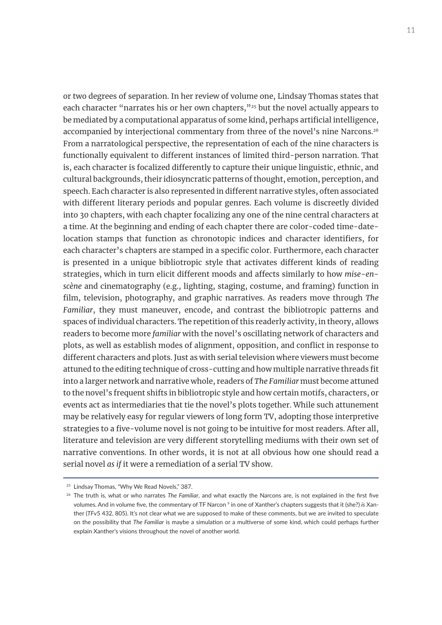or two degrees of separation. In her review of volume one, Lindsay Thomas states that each character "narrates his or her own chapters,"<sup>25</sup> but the novel actually appears to be mediated by a computational apparatus of some kind, perhaps artificial intelligence, accompanied by interjectional commentary from three of the novel's nine Narcons.<sup>26</sup> From a narratological perspective, the representation of each of the nine characters is functionally equivalent to different instances of limited third-person narration. That is, each character is focalized differently to capture their unique linguistic, ethnic, and cultural backgrounds, their idiosyncratic patterns of thought, emotion, perception, and speech. Each character is also represented in different narrative styles, often associated with different literary periods and popular genres. Each volume is discreetly divided into 30 chapters, with each chapter focalizing any one of the nine central characters at a time. At the beginning and ending of each chapter there are color-coded time-datelocation stamps that function as chronotopic indices and character identifiers, for each character's chapters are stamped in a specific color. Furthermore, each character is presented in a unique bibliotropic style that activates different kinds of reading strategies, which in turn elicit different moods and affects similarly to how *mise-enscène* and cinematography (e.g., lighting, staging, costume, and framing) function in film, television, photography, and graphic narratives. As readers move through *The Familiar*, they must maneuver, encode, and contrast the bibliotropic patterns and spaces of individual characters. The repetition of this readerly activity, in theory, allows readers to become more *familiar* with the novel's oscillating network of characters and plots, as well as establish modes of alignment, opposition, and conflict in response to different characters and plots. Just as with serial television where viewers must become attuned to the editing technique of cross-cutting and how multiple narrative threads fit into a larger network and narrative whole, readers of *The Familiar* must become attuned to the novel's frequent shifts in bibliotropic style and how certain motifs, characters, or events act as intermediaries that tie the novel's plots together. While such attunement may be relatively easy for regular viewers of long form TV, adopting those interpretive strategies to a five-volume novel is not going to be intuitive for most readers. After all, literature and television are very different storytelling mediums with their own set of narrative conventions. In other words, it is not at all obvious how one should read a serial novel *as if* it were a remediation of a serial TV show.

<sup>&</sup>lt;sup>25</sup> Lindsay Thomas, "Why We Read Novels," 387.

<sup>26</sup> The truth is, what or who narrates *The Familiar*, and what exactly the Narcons are, is not explained in the first five volumes. And in volume five, the commentary of TF Narcon 9 in one of Xanther's chapters suggests that it (she?) *is* Xanther (*TF*v5 432, 805). It's not clear what we are supposed to make of these comments, but we are invited to speculate on the possibility that *The Familiar* is maybe a simulation or a multiverse of some kind, which could perhaps further explain Xanther's visions throughout the novel of another world.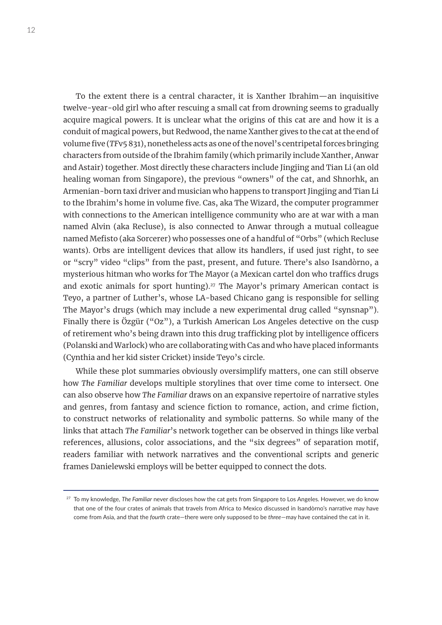To the extent there is a central character, it is Xanther Ibrahim—an inquisitive twelve-year-old girl who after rescuing a small cat from drowning seems to gradually acquire magical powers. It is unclear what the origins of this cat are and how it is a conduit of magical powers, but Redwood, the name Xanther gives to the cat at the end of volume five (*TF*v5 831), nonetheless acts as one of the novel's centripetal forces bringing characters from outside of the Ibrahim family (which primarily include Xanther, Anwar and Astair) together. Most directly these characters include Jingjing and Tian Li (an old healing woman from Singapore), the previous "owners" of the cat, and Shnorhk, an Armenian-born taxi driver and musician who happens to transport Jingjing and Tian Li to the Ibrahim's home in volume five. Cas, aka The Wizard, the computer programmer with connections to the American intelligence community who are at war with a man named Alvin (aka Recluse), is also connected to Anwar through a mutual colleague named Mefisto (aka Sorcerer) who possesses one of a handful of "Orbs" (which Recluse wants). Orbs are intelligent devices that allow its handlers, if used just right, to see or "scry" video "clips" from the past, present, and future. There's also Isandòrno, a mysterious hitman who works for The Mayor (a Mexican cartel don who traffics drugs and exotic animals for sport hunting).<sup>27</sup> The Mayor's primary American contact is Teyo, a partner of Luther's, whose LA-based Chicano gang is responsible for selling The Mayor's drugs (which may include a new experimental drug called "synsnap"). Finally there is Özgür ("Oz"), a Turkish American Los Angeles detective on the cusp of retirement who's being drawn into this drug trafficking plot by intelligence officers (Polanski and Warlock) who are collaborating with Cas and who have placed informants (Cynthia and her kid sister Cricket) inside Teyo's circle.

While these plot summaries obviously oversimplify matters, one can still observe how *The Familiar* develops multiple storylines that over time come to intersect. One can also observe how *The Familiar* draws on an expansive repertoire of narrative styles and genres, from fantasy and science fiction to romance, action, and crime fiction, to construct networks of relationality and symbolic patterns. So while many of the links that attach *The Familiar*'s network together can be observed in things like verbal references, allusions, color associations, and the "six degrees" of separation motif, readers familiar with network narratives and the conventional scripts and generic frames Danielewski employs will be better equipped to connect the dots.

<sup>27</sup> To my knowledge, *The Familiar* never discloses how the cat gets from Singapore to Los Angeles. However, we do know that one of the four crates of animals that travels from Africa to Mexico discussed in Isandòrno's narrative may have come from Asia, and that the *fourth* crate—there were only supposed to be *three*—may have contained the cat in it.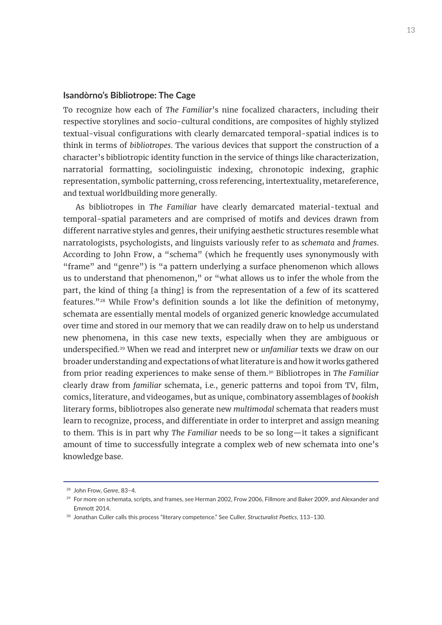#### **Isandòrno's Bibliotrope: The Cage**

To recognize how each of *The Familiar*'s nine focalized characters, including their respective storylines and socio-cultural conditions, are composites of highly stylized textual-visual configurations with clearly demarcated temporal-spatial indices is to think in terms of *bibliotropes*. The various devices that support the construction of a character's bibliotropic identity function in the service of things like characterization, narratorial formatting, sociolinguistic indexing, chronotopic indexing, graphic representation, symbolic patterning, cross referencing, intertextuality, metareference, and textual worldbuilding more generally.

As bibliotropes in *The Familiar* have clearly demarcated material-textual and temporal-spatial parameters and are comprised of motifs and devices drawn from different narrative styles and genres, their unifying aesthetic structures resemble what narratologists, psychologists, and linguists variously refer to as *schemata* and *frames*. According to John Frow, a "schema" (which he frequently uses synonymously with "frame" and "genre") is "a pattern underlying a surface phenomenon which allows us to understand that phenomenon," or "what allows us to infer the whole from the part, the kind of thing [a thing] is from the representation of a few of its scattered features."28 While Frow's definition sounds a lot like the definition of metonymy, schemata are essentially mental models of organized generic knowledge accumulated over time and stored in our memory that we can readily draw on to help us understand new phenomena, in this case new texts, especially when they are ambiguous or underspecified.29 When we read and interpret new or *unfamiliar* texts we draw on our broader understanding and expectations of what literature is and how it works gathered from prior reading experiences to make sense of them.30 Bibliotropes in *The Familiar* clearly draw from *familiar* schemata, i.e., generic patterns and topoi from TV, film, comics, literature, and videogames, but as unique, combinatory assemblages of *bookish* literary forms, bibliotropes also generate new *multimodal* schemata that readers must learn to recognize, process, and differentiate in order to interpret and assign meaning to them. This is in part why *The Familiar* needs to be so long—it takes a significant amount of time to successfully integrate a complex web of new schemata into one's knowledge base.

<sup>28</sup> John Frow, *Genre*, 83–4.

<sup>&</sup>lt;sup>29</sup> For more on schemata, scripts, and frames, see Herman 2002, Frow 2006, Fillmore and Baker 2009, and Alexander and Emmott 2014.

<sup>30</sup> Jonathan Culler calls this process "literary competence." See Culler, *Structuralist Poetics*, 113–130.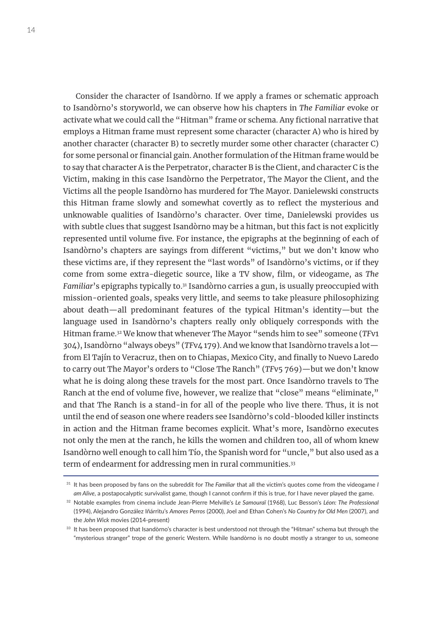Consider the character of Isandòrno. If we apply a frames or schematic approach to Isandòrno's storyworld, we can observe how his chapters in *The Familiar* evoke or activate what we could call the "Hitman" frame or schema. Any fictional narrative that employs a Hitman frame must represent some character (character A) who is hired by another character (character B) to secretly murder some other character (character C) for some personal or financial gain. Another formulation of the Hitman frame would be to say that character A is the Perpetrator, character B is the Client, and character C is the Victim, making in this case Isandòrno the Perpetrator, The Mayor the Client, and the Victims all the people Isandòrno has murdered for The Mayor. Danielewski constructs this Hitman frame slowly and somewhat covertly as to reflect the mysterious and unknowable qualities of Isandòrno's character. Over time, Danielewski provides us with subtle clues that suggest Isandòrno may be a hitman, but this fact is not explicitly represented until volume five. For instance, the epigraphs at the beginning of each of Isandòrno's chapters are sayings from different "victims," but we don't know who these victims are, if they represent the "last words" of Isandòrno's victims, or if they come from some extra-diegetic source, like a TV show, film, or videogame, as *The Familiar*'s epigraphs typically to.31 Isandòrno carries a gun, is usually preoccupied with mission-oriented goals, speaks very little, and seems to take pleasure philosophizing about death—all predominant features of the typical Hitman's identity—but the language used in Isandòrno's chapters really only obliquely corresponds with the Hitman frame.32 We know that whenever The Mayor "sends him to see" someone (*TF*v1 304), Isandòrno "always obeys" (*TF*v4 179). And we know that Isandòrno travels a lot from El Tajín to Veracruz, then on to Chiapas, Mexico City, and finally to Nuevo Laredo to carry out The Mayor's orders to "Close The Ranch" (*TF*v5 769)—but we don't know what he is doing along these travels for the most part. Once Isandòrno travels to The Ranch at the end of volume five, however, we realize that "close" means "eliminate," and that The Ranch is a stand-in for all of the people who live there. Thus, it is not until the end of season one where readers see Isandòrno's cold-blooded killer instincts in action and the Hitman frame becomes explicit. What's more, Isandòrno executes not only the men at the ranch, he kills the women and children too, all of whom knew Isandòrno well enough to call him Tío, the Spanish word for "uncle," but also used as a term of endearment for addressing men in rural communities.<sup>33</sup>

<sup>31</sup> It has been proposed by fans on the subreddit for *The Familiar* that all the victim's quotes come from the videogame *I am Alive*, a postapocalyptic survivalist game, though I cannot confirm if this is true, for I have never played the game.

<sup>32</sup> Notable examples from cinema include Jean-Pierre Melville's *Le Samouraï* (1968), Luc Besson's *Léon: The Professional* (1994), Alejandro González Iñárritu's *Amores Perros* (2000), Joel and Ethan Cohen's *No Country for Old Men* (2007), and the *John Wick* movies (2014-present)

<sup>33</sup> It has been proposed that Isandòrno's character is best understood not through the "Hitman" schema but through the "mysterious stranger" trope of the generic Western. While Isandòrno is no doubt mostly a stranger to us, someone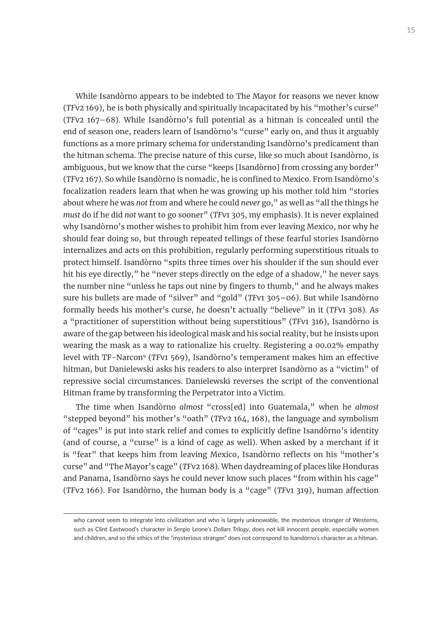While Isandòrno appears to be indebted to The Mayor for reasons we never know (*TF*v2 169), he is both physically and spiritually incapacitated by his "mother's curse" (*TF*v2 167–68). While Isandòrno's full potential as a hitman is concealed until the end of season one, readers learn of Isandòrno's "curse" early on, and thus it arguably functions as a more primary schema for understanding Isandòrno's predicament than the hitman schema. The precise nature of this curse, like so much about Isandòrno, is ambiguous, but we know that the curse "keeps [Isandòrno] from crossing any border" (*TF*v2 167). So while Isandòrno is nomadic, he is confined to Mexico. From Isandòrno's focalization readers learn that when he was growing up his mother told him "stories about where he was *not* from and where he could *never* go," as well as "all the things he *must* do if he did *not* want to go sooner" (*TF*v1 305, my emphasis). It is never explained why Isandòrno's mother wishes to prohibit him from ever leaving Mexico, nor why he should fear doing so, but through repeated tellings of these fearful stories Isandòrno internalizes and acts on this prohibition, regularly performing superstitious rituals to protect himself. Isandòrno "spits three times over his shoulder if the sun should ever hit his eye directly," he "never steps directly on the edge of a shadow," he never says the number nine "unless he taps out nine by fingers to thumb," and he always makes sure his bullets are made of "silver" and "gold" (*TF*v1 305–06). But while Isandòrno formally heeds his mother's curse, he doesn't actually "believe" in it (*TF*v1 308). As a "practitioner of superstition without being superstitious" (*TF*v1 316), Isandòrno is aware of the gap between his ideological mask and his social reality, but he insists upon wearing the mask as a way to rationalize his cruelty. Registering a 00.02% empathy level with TF-Narcon9 (*TF*v1 569), Isandòrno's temperament makes him an effective hitman, but Danielewski asks his readers to also interpret Isandòrno as a "victim" of repressive social circumstances. Danielewski reverses the script of the conventional Hitman frame by transforming the Perpetrator into a Victim.

The time when Isandòrno *almost* "cross[ed] into Guatemala," when he *almost* "stepped beyond" his mother's "oath" (*TF*v2 164, 168), the language and symbolism of "cages" is put into stark relief and comes to explicitly define Isandòrno's identity (and of course, a "curse" is a kind of cage as well). When asked by a merchant if it is "fear" that keeps him from leaving Mexico, Isandòrno reflects on his "mother's curse" and "The Mayor's cage" (*TF*v2 168). When daydreaming of places like Honduras and Panama, Isandòrno says he could never know such places "from within his cage" (*TF*v2 166). For Isandòrno, the human body is a "cage" (*TF*v1 319), human affection

who cannot seem to integrate into civilization and who is largely unknowable, the mysterious stranger of Westerns, such as Clint Eastwood's character in Sergio Leone's *Dollars Trilogy*, does not kill innocent people, especially women and children, and so the ethics of the "mysterious stranger" does not correspond to Isandòrno's character as a hitman.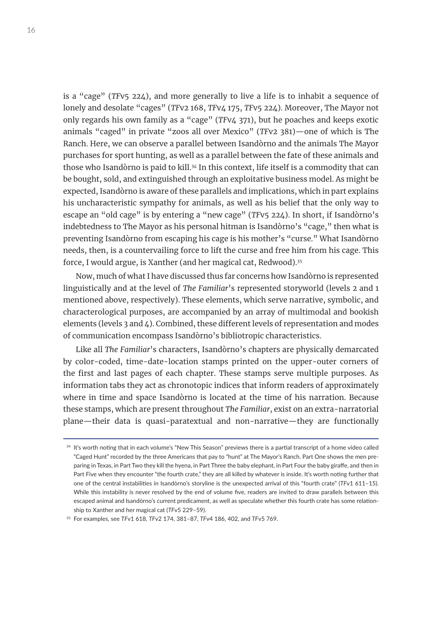is a "cage" (*TF*v5 224), and more generally to live a life is to inhabit a sequence of lonely and desolate "cages" (*TF*v2 168, *TF*v4 175, *TF*v5 224). Moreover, The Mayor not only regards his own family as a "cage" (*TF*v4 371), but he poaches and keeps exotic animals "caged" in private "zoos all over Mexico" (*TF*v2 381)—one of which is The Ranch. Here, we can observe a parallel between Isandòrno and the animals The Mayor purchases for sport hunting, as well as a parallel between the fate of these animals and those who Isandòrno is paid to kill.<sup>34</sup> In this context, life itself is a commodity that can be bought, sold, and extinguished through an exploitative business model. As might be expected, Isandòrno is aware of these parallels and implications, which in part explains his uncharacteristic sympathy for animals, as well as his belief that the only way to escape an "old cage" is by entering a "new cage" (*TF*v5 224). In short, if Isandòrno's indebtedness to The Mayor as his personal hitman is Isandòrno's "cage," then what is preventing Isandòrno from escaping his cage is his mother's "curse." What Isandòrno needs, then, is a countervailing force to lift the curse and free him from his cage. This force, I would argue, is Xanther (and her magical cat, Redwood).35

Now, much of what I have discussed thus far concerns how Isandòrno is represented linguistically and at the level of *The Familiar*'s represented storyworld (levels 2 and 1 mentioned above, respectively). These elements, which serve narrative, symbolic, and characterological purposes, are accompanied by an array of multimodal and bookish elements (levels 3 and 4). Combined, these different levels of representation and modes of communication encompass Isandòrno's bibliotropic characteristics.

Like all *The Familiar*'s characters, Isandòrno's chapters are physically demarcated by color-coded, time-date-location stamps printed on the upper-outer corners of the first and last pages of each chapter. These stamps serve multiple purposes. As information tabs they act as chronotopic indices that inform readers of approximately where in time and space Isandòrno is located at the time of his narration. Because these stamps, which are present throughout *The Familiar*, exist on an extra-narratorial plane—their data is quasi-paratextual and non-narrative—they are functionally

<sup>&</sup>lt;sup>34</sup> It's worth noting that in each volume's "New This Season" previews there is a partial transcript of a home video called "Caged Hunt" recorded by the three Americans that pay to "hunt" at The Mayor's Ranch. Part One shows the men preparing in Texas, in Part Two they kill the hyena, in Part Three the baby elephant, in Part Four the baby giraffe, and then in Part Five when they encounter "the fourth crate," they are all killed by whatever is inside. It's worth noting further that one of the central instabilities in Isandòrno's storyline is the unexpected arrival of this "fourth crate" (*TF*v1 611–15). While this instability is never resolved by the end of volume five, readers are invited to draw parallels between this escaped animal and Isandòrno's current predicament, as well as speculate whether this fourth crate has some relationship to Xanther and her magical cat (*TF*v5 229–59).

<sup>35</sup> For examples, see *TF*v1 618, *TF*v2 174, 381–87, *TF*v4 186, 402, and *TF*v5 769.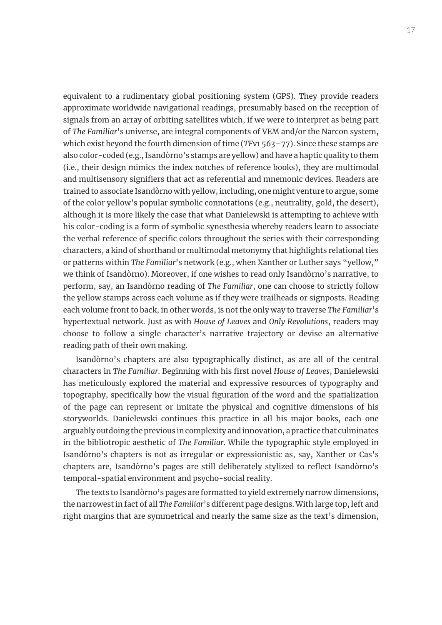equivalent to a rudimentary global positioning system (GPS). They provide readers approximate worldwide navigational readings, presumably based on the reception of signals from an array of orbiting satellites which, if we were to interpret as being part of *The Familiar*'s universe, are integral components of VEM and/or the Narcon system, which exist beyond the fourth dimension of time (*TF*v1 563–77). Since these stamps are also color-coded (e.g., Isandòrno's stamps are yellow) and have a haptic quality to them (i.e., their design mimics the index notches of reference books), they are multimodal and multisensory signifiers that act as referential and mnemonic devices. Readers are trained to associate Isandòrno with yellow, including, one might venture to argue, some of the color yellow's popular symbolic connotations (e.g., neutrality, gold, the desert), although it is more likely the case that what Danielewski is attempting to achieve with his color-coding is a form of symbolic synesthesia whereby readers learn to associate the verbal reference of specific colors throughout the series with their corresponding characters, a kind of shorthand or multimodal metonymy that highlights relational ties or patterns within *The Familiar*'s network (e.g., when Xanther or Luther says "yellow," we think of Isandòrno). Moreover, if one wishes to read only Isandòrno's narrative, to perform, say, an Isandòrno reading of *The Familiar*, one can choose to strictly follow the yellow stamps across each volume as if they were trailheads or signposts. Reading each volume front to back, in other words, is not the only way to traverse *The Familiar*'s hypertextual network. Just as with *House of Leaves* and *Only Revolutions*, readers may choose to follow a single character's narrative trajectory or devise an alternative reading path of their own making.

Isandòrno's chapters are also typographically distinct, as are all of the central characters in *The Familiar*. Beginning with his first novel *House of Leaves*, Danielewski has meticulously explored the material and expressive resources of typography and topography, specifically how the visual figuration of the word and the spatialization of the page can represent or imitate the physical and cognitive dimensions of his storyworlds. Danielewski continues this practice in all his major books, each one arguably outdoing the previous in complexity and innovation, a practice that culminates in the bibliotropic aesthetic of *The Familiar*. While the typographic style employed in Isandòrno's chapters is not as irregular or expressionistic as, say, Xanther or Cas's chapters are, Isandòrno's pages are still deliberately stylized to reflect Isandòrno's temporal-spatial environment and psycho-social reality.

The texts to Isandòrno's pages are formatted to yield extremely narrow dimensions, the narrowest in fact of all *The Familiar*'s different page designs. With large top, left and right margins that are symmetrical and nearly the same size as the text's dimension,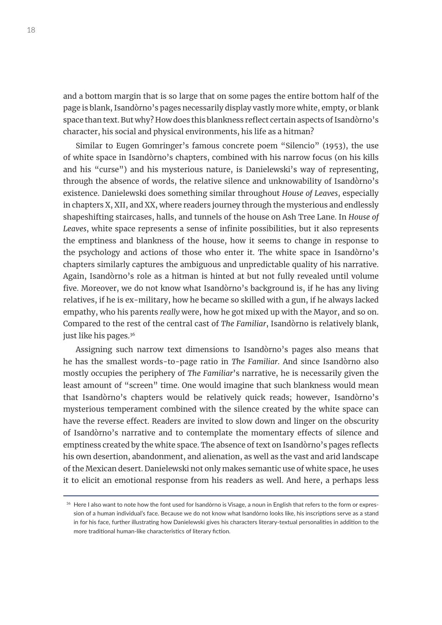and a bottom margin that is so large that on some pages the entire bottom half of the page is blank, Isandòrno's pages necessarily display vastly more white, empty, or blank space than text. But why? How does this blankness reflect certain aspects of Isandòrno's character, his social and physical environments, his life as a hitman?

Similar to Eugen Gomringer's famous concrete poem "Silencio" (1953), the use of white space in Isandòrno's chapters, combined with his narrow focus (on his kills and his "curse") and his mysterious nature, is Danielewski's way of representing, through the absence of words, the relative silence and unknowability of Isandòrno's existence. Danielewski does something similar throughout *House of Leaves*, especially in chapters X, XII, and XX, where readers journey through the mysterious and endlessly shapeshifting staircases, halls, and tunnels of the house on Ash Tree Lane. In *House of Leaves*, white space represents a sense of infinite possibilities, but it also represents the emptiness and blankness of the house, how it seems to change in response to the psychology and actions of those who enter it. The white space in Isandòrno's chapters similarly captures the ambiguous and unpredictable quality of his narrative. Again, Isandòrno's role as a hitman is hinted at but not fully revealed until volume five. Moreover, we do not know what Isandòrno's background is, if he has any living relatives, if he is ex-military, how he became so skilled with a gun, if he always lacked empathy, who his parents *really* were, how he got mixed up with the Mayor, and so on. Compared to the rest of the central cast of *The Familiar*, Isandòrno is relatively blank, just like his pages.<sup>36</sup>

Assigning such narrow text dimensions to Isandòrno's pages also means that he has the smallest words-to-page ratio in *The Familiar*. And since Isandòrno also mostly occupies the periphery of *The Familiar*'s narrative, he is necessarily given the least amount of "screen" time. One would imagine that such blankness would mean that Isandòrno's chapters would be relatively quick reads; however, Isandòrno's mysterious temperament combined with the silence created by the white space can have the reverse effect. Readers are invited to slow down and linger on the obscurity of Isandòrno's narrative and to contemplate the momentary effects of silence and emptiness created by the white space. The absence of text on Isandòrno's pages reflects his own desertion, abandonment, and alienation, as well as the vast and arid landscape of the Mexican desert. Danielewski not only makes semantic use of white space, he uses it to elicit an emotional response from his readers as well. And here, a perhaps less

<sup>&</sup>lt;sup>36</sup> Here I also want to note how the font used for Isandòrno is Visage, a noun in English that refers to the form or expression of a human individual's face. Because we do not know what Isandòrno looks like, his inscriptions serve as a stand in for his face, further illustrating how Danielewski gives his characters literary-textual personalities in addition to the more traditional human-like characteristics of literary fiction.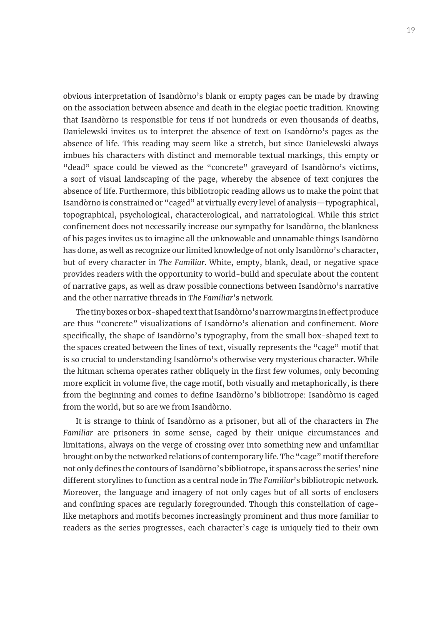obvious interpretation of Isandòrno's blank or empty pages can be made by drawing on the association between absence and death in the elegiac poetic tradition. Knowing that Isandòrno is responsible for tens if not hundreds or even thousands of deaths, Danielewski invites us to interpret the absence of text on Isandòrno's pages as the absence of life. This reading may seem like a stretch, but since Danielewski always imbues his characters with distinct and memorable textual markings, this empty or "dead" space could be viewed as the "concrete" graveyard of Isandòrno's victims, a sort of visual landscaping of the page, whereby the absence of text conjures the absence of life. Furthermore, this bibliotropic reading allows us to make the point that Isandòrno is constrained or "caged" at virtually every level of analysis—typographical, topographical, psychological, characterological, and narratological. While this strict confinement does not necessarily increase our sympathy for Isandòrno, the blankness of his pages invites us to imagine all the unknowable and unnamable things Isandòrno has done, as well as recognize our limited knowledge of not only Isandòrno's character, but of every character in *The Familiar*. White, empty, blank, dead, or negative space provides readers with the opportunity to world-build and speculate about the content of narrative gaps, as well as draw possible connections between Isandòrno's narrative and the other narrative threads in *The Familiar*'s network.

The tiny boxes or box-shaped text that Isandòrno's narrow margins in effect produce are thus "concrete" visualizations of Isandòrno's alienation and confinement. More specifically, the shape of Isandòrno's typography, from the small box-shaped text to the spaces created between the lines of text, visually represents the "cage" motif that is so crucial to understanding Isandòrno's otherwise very mysterious character. While the hitman schema operates rather obliquely in the first few volumes, only becoming more explicit in volume five, the cage motif, both visually and metaphorically, is there from the beginning and comes to define Isandòrno's bibliotrope: Isandòrno is caged from the world, but so are we from Isandòrno.

It is strange to think of Isandòrno as a prisoner, but all of the characters in *The Familiar* are prisoners in some sense, caged by their unique circumstances and limitations, always on the verge of crossing over into something new and unfamiliar brought on by the networked relations of contemporary life. The "cage" motif therefore not only defines the contours of Isandòrno's bibliotrope, it spans across the series' nine different storylines to function as a central node in *The Familiar*'s bibliotropic network. Moreover, the language and imagery of not only cages but of all sorts of enclosers and confining spaces are regularly foregrounded. Though this constellation of cagelike metaphors and motifs becomes increasingly prominent and thus more familiar to readers as the series progresses, each character's cage is uniquely tied to their own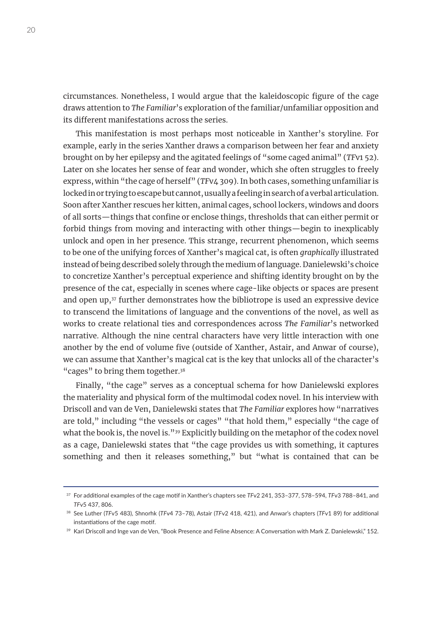circumstances. Nonetheless, I would argue that the kaleidoscopic figure of the cage draws attention to *The Familiar*'s exploration of the familiar/unfamiliar opposition and its different manifestations across the series.

This manifestation is most perhaps most noticeable in Xanther's storyline. For example, early in the series Xanther draws a comparison between her fear and anxiety brought on by her epilepsy and the agitated feelings of "some caged animal" (*TF*v1 52). Later on she locates her sense of fear and wonder, which she often struggles to freely express, within "the cage of herself" (*TF*v4 309). In both cases, something unfamiliar is locked in or trying to escape but cannot, usually a feeling in search of a verbal articulation. Soon after Xanther rescues her kitten, animal cages, school lockers, windows and doors of all sorts—things that confine or enclose things, thresholds that can either permit or forbid things from moving and interacting with other things—begin to inexplicably unlock and open in her presence. This strange, recurrent phenomenon, which seems to be one of the unifying forces of Xanther's magical cat, is often *graphically* illustrated instead of being described solely through the medium of language. Danielewski's choice to concretize Xanther's perceptual experience and shifting identity brought on by the presence of the cat, especially in scenes where cage-like objects or spaces are present and open up,<sup>37</sup> further demonstrates how the bibliotrope is used an expressive device to transcend the limitations of language and the conventions of the novel, as well as works to create relational ties and correspondences across *The Familiar*'s networked narrative. Although the nine central characters have very little interaction with one another by the end of volume five (outside of Xanther, Astair, and Anwar of course), we can assume that Xanther's magical cat is the key that unlocks all of the character's "cages" to bring them together.<sup>38</sup>

Finally, "the cage" serves as a conceptual schema for how Danielewski explores the materiality and physical form of the multimodal codex novel. In his interview with Driscoll and van de Ven, Danielewski states that *The Familiar* explores how "narratives are told," including "the vessels or cages" "that hold them," especially "the cage of what the book is, the novel is."<sup>39</sup> Explicitly building on the metaphor of the codex novel as a cage, Danielewski states that "the cage provides us with something, it captures something and then it releases something," but "what is contained that can be

<sup>37</sup> For additional examples of the cage motif in Xanther's chapters see *TF*v2 241, 353–377, 578–594, *TF*v3 788–841, and *TF*v5 437, 806.

<sup>38</sup> See Luther (*TF*v5 483), Shnorhk (*TF*v4 73–78), Astair (*TF*v2 418, 421), and Anwar's chapters (*TF*v1 89) for additional instantiations of the cage motif.

<sup>&</sup>lt;sup>39</sup> Kari Driscoll and Inge van de Ven, "Book Presence and Feline Absence: A Conversation with Mark Z. Danielewski," 152.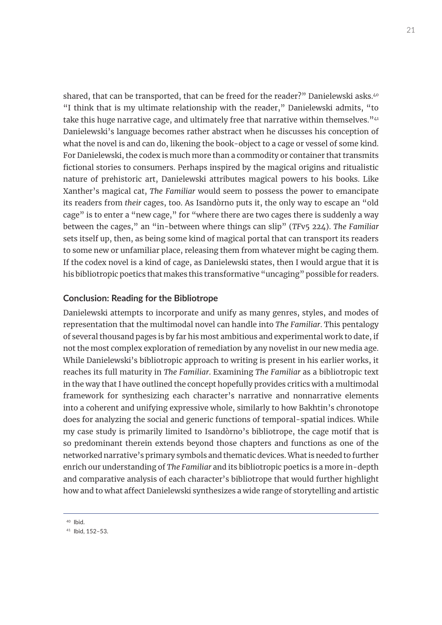shared, that can be transported, that can be freed for the reader?" Danielewski asks.<sup>40</sup> "I think that is my ultimate relationship with the reader," Danielewski admits, "to take this huge narrative cage, and ultimately free that narrative within themselves.<sup>" $41$ </sup> Danielewski's language becomes rather abstract when he discusses his conception of what the novel is and can do, likening the book-object to a cage or vessel of some kind. For Danielewski, the codex is much more than a commodity or container that transmits fictional stories to consumers. Perhaps inspired by the magical origins and ritualistic nature of prehistoric art, Danielewski attributes magical powers to his books. Like Xanther's magical cat, *The Familiar* would seem to possess the power to emancipate its readers from *their* cages, too. As Isandòrno puts it, the only way to escape an "old cage" is to enter a "new cage," for "where there are two cages there is suddenly a way between the cages," an "in-between where things can slip" (*TF*v5 224). *The Familiar* sets itself up, then, as being some kind of magical portal that can transport its readers to some new or unfamiliar place, releasing them from whatever might be caging them. If the codex novel is a kind of cage, as Danielewski states, then I would argue that it is his bibliotropic poetics that makes this transformative "uncaging" possible for readers.

### **Conclusion: Reading for the Bibliotrope**

Danielewski attempts to incorporate and unify as many genres, styles, and modes of representation that the multimodal novel can handle into *The Familiar*. This pentalogy of several thousand pages is by far his most ambitious and experimental work to date, if not the most complex exploration of remediation by any novelist in our new media age. While Danielewski's bibliotropic approach to writing is present in his earlier works, it reaches its full maturity in *The Familiar*. Examining *The Familiar* as a bibliotropic text in the way that I have outlined the concept hopefully provides critics with a multimodal framework for synthesizing each character's narrative and nonnarrative elements into a coherent and unifying expressive whole, similarly to how Bakhtin's chronotope does for analyzing the social and generic functions of temporal-spatial indices. While my case study is primarily limited to Isandòrno's bibliotrope, the cage motif that is so predominant therein extends beyond those chapters and functions as one of the networked narrative's primary symbols and thematic devices. What is needed to further enrich our understanding of *The Familiar* and its bibliotropic poetics is a more in-depth and comparative analysis of each character's bibliotrope that would further highlight how and to what affect Danielewski synthesizes a wide range of storytelling and artistic

<sup>40</sup> Ibid.

<sup>41</sup> Ibid, 152–53.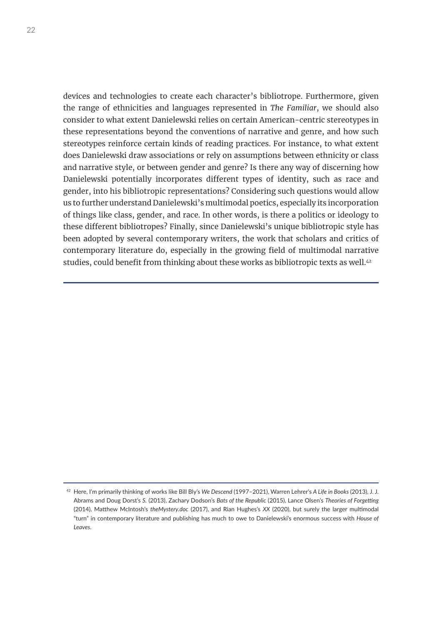devices and technologies to create each character's bibliotrope. Furthermore, given the range of ethnicities and languages represented in *The Familiar*, we should also consider to what extent Danielewski relies on certain American-centric stereotypes in these representations beyond the conventions of narrative and genre, and how such stereotypes reinforce certain kinds of reading practices. For instance, to what extent does Danielewski draw associations or rely on assumptions between ethnicity or class and narrative style, or between gender and genre? Is there any way of discerning how Danielewski potentially incorporates different types of identity, such as race and gender, into his bibliotropic representations? Considering such questions would allow us to further understand Danielewski's multimodal poetics, especially its incorporation of things like class, gender, and race. In other words, is there a politics or ideology to these different bibliotropes? Finally, since Danielewski's unique bibliotropic style has been adopted by several contemporary writers, the work that scholars and critics of contemporary literature do, especially in the growing field of multimodal narrative studies, could benefit from thinking about these works as bibliotropic texts as well.<sup>42</sup>

<sup>42</sup> Here, I'm primarily thinking of works like Bill Bly's *We Descend* (1997–2021), Warren Lehrer's *A Life in Books* (2013), J. J. Abrams and Doug Dorst's *S.* (2013), Zachary Dodson's *Bats of the Republic* (2015), Lance Olsen's *Theories of Forgetting* (2014), Matthew McIntosh's *theMystery.doc* (2017), and Rian Hughes's *XX* (2020), but surely the larger multimodal "turn" in contemporary literature and publishing has much to owe to Danielewski's enormous success with *House of Leaves*.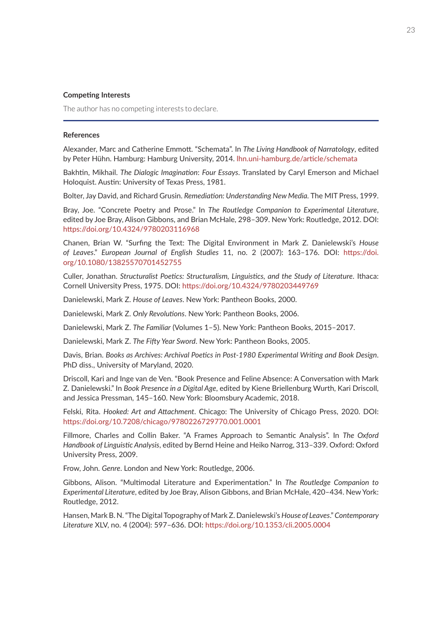#### **Competing Interests**

The author has no competing interests to declare.

#### **References**

Alexander, Marc and Catherine Emmott. "Schemata". In *The Living Handbook of Narratology*, edited by Peter Hühn. Hamburg: Hamburg University, 2014. [lhn.uni-hamburg.de/article/schemata](http://lhn.uni-hamburg.de/article/schemata)

Bakhtin, Mikhail. *The Dialogic Imagination*: *Four Essays*. Translated by Caryl Emerson and Michael Holoquist. Austin: University of Texas Press, 1981.

Bolter, Jay David, and Richard Grusin. *Remediation: Understanding New Media.* The MIT Press, 1999.

Bray, Joe. "Concrete Poetry and Prose." In *The Routledge Companion to Experimental Literature*, edited by Joe Bray, Alison Gibbons, and Brian McHale, 298–309. New York: Routledge, 2012. DOI: <https://doi.org/10.4324/9780203116968>

Chanen, Brian W. "Surfing the Text: The Digital Environment in Mark Z. Danielewski's *House of Leaves*." *European Journal of English Studies* 11, no. 2 (2007): 163–176. DOI: [https://doi.](https://doi.org/10.1080/13825570701452755) [org/10.1080/13825570701452755](https://doi.org/10.1080/13825570701452755)

Culler, Jonathan. *Structuralist Poetics: Structuralism, Linguistics, and the Study of Literature*. Ithaca: Cornell University Press, 1975. DOI: <https://doi.org/10.4324/9780203449769>

Danielewski, Mark Z. *House of Leaves*. New York: Pantheon Books, 2000.

Danielewski, Mark Z. *Only Revolutions*. New York: Pantheon Books, 2006.

Danielewski, Mark Z. *The Familiar* (Volumes 1–5). New York: Pantheon Books, 2015–2017.

Danielewski, Mark Z. *The Fifty Year Sword*. New York: Pantheon Books, 2005.

Davis, Brian. *Books as Archives: Archival Poetics in Post-1980 Experimental Writing and Book Design*. PhD diss., University of Maryland, 2020.

Driscoll, Kari and Inge van de Ven. "Book Presence and Feline Absence: A Conversation with Mark Z. Danielewski." In *Book Presence in a Digital Age*, edited by Kiene Briellenburg Wurth, Kari Driscoll, and Jessica Pressman, 145–160. New York: Bloomsbury Academic, 2018.

Felski, Rita. *Hooked: Art and Attachment*. Chicago: The University of Chicago Press, 2020. DOI: <https://doi.org/10.7208/chicago/9780226729770.001.0001>

Fillmore, Charles and Collin Baker. "A Frames Approach to Semantic Analysis". In *The Oxford Handbook of Linguistic Analysis*, edited by Bernd Heine and Heiko Narrog, 313–339. Oxford: Oxford University Press, 2009.

Frow, John. *Genre*. London and New York: Routledge, 2006.

Gibbons, Alison. "Multimodal Literature and Experimentation." In *The Routledge Companion to Experimental Literature*, edited by Joe Bray, Alison Gibbons, and Brian McHale, 420–434. New York: Routledge, 2012.

Hansen, Mark B. N. "The Digital Topography of Mark Z. Danielewski's *House of Leaves*." *Contemporary Literature* XLV, no. 4 (2004): 597–636. DOI: <https://doi.org/10.1353/cli.2005.0004>